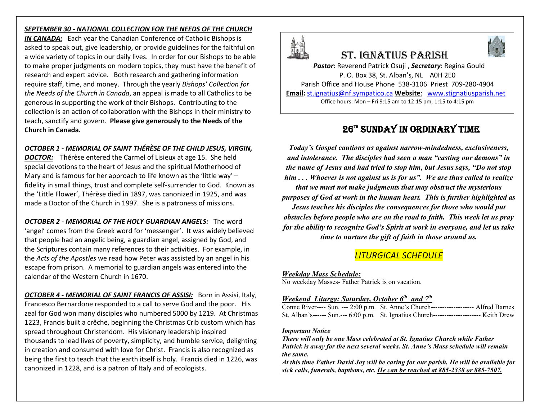## *SEPTEMBER 30 - NATIONAL COLLECTION FOR THE NEEDS OF THE CHURCH*

*IN CANADA:* Each year the Canadian Conference of Catholic Bishops is asked to speak out, give leadership, or provide guidelines for the faithful on a wide variety of topics in our daily lives. In order for our Bishops to be able to make proper judgments on modern topics, they must have the benefit of research and expert advice. Both research and gathering information require staff, time, and money. Through the yearly *Bishops' Collection for the Needs of the Church in Canada*, an appeal is made to all Catholics to be generous in supporting the work of their Bishops. Contributing to the collection is an action of collaboration with the Bishops in their ministry to teach, sanctify and govern. **Please give generously to the Needs of the Church in Canada.** 

## *OCTOBER 1 - MEMORIAL OF SAINT THÉRÈSE OF THE CHILD JESUS, VIRGIN,*

*DOCTOR:* Thérèse entered the Carmel of Lisieux at age 15. She held special devotions to the heart of Jesus and the spiritual Motherhood of Mary and is famous for her approach to life known as the 'little way' – fidelity in small things, trust and complete self-surrender to God. Known as the 'Little Flower', Thérèse died in 1897, was canonized in 1925, and was made a Doctor of the Church in 1997. She is a patroness of missions.

*OCTOBER 2 - MEMORIAL OF THE HOLY GUARDIAN ANGELS:* The word 'angel' comes from the Greek word for 'messenger'. It was widely believed that people had an angelic being, a guardian angel, assigned by God, and the Scriptures contain many references to their activities. For example, in the *Acts of the Apostles* we read how Peter was assisted by an angel in his escape from prison. A memorial to guardian angels was entered into the calendar of the Western Church in 1670.

*OCTOBER 4 - MEMORIAL OF SAINT FRANCIS OF ASSISI:* Born in Assisi, Italy, Francesco Bernardone responded to a call to serve God and the poor. His zeal for God won many disciples who numbered 5000 by 1219. At Christmas 1223, Francis built a crêche, beginning the Christmas Crib custom which has spread throughout Christendom. His visionary leadership inspired thousands to lead lives of poverty, simplicity, and humble service, delighting in creation and consumed with love for Christ. Francis is also recognized as being the first to teach that the earth itself is holy. Francis died in 1226, was canonized in 1228, and is a patron of Italy and of ecologists.



# St. IgnatIuS parISh



*Pastor*: Reverend Patrick Osuji , *Secretary*: Regina Gould P. O. Box 38, St. Alban's, NL A0H 2E0 Parish Office and House Phone 538-3106 Priest 709-280-4904 **Email:** st.ignatius@nf.sympatico.ca **Website**: www.stignatiusparish.net

Office hours: Mon – Fri 9:15 am to 12:15 pm, 1:15 to 4:15 pm

## 26™ SUNDAY IN ORDINARY TIME

*Today's Gospel cautions us against narrow-mindedness, exclusiveness, and intolerance. The disciples had seen a man "casting our demons" in the name of Jesus and had tried to stop him, but Jesus says, "Do not stop him . . . Whoever is not against us is for us". We are thus called to realize that we must not make judgments that may obstruct the mysterious purposes of God at work in the human heart. This is further highlighted as Jesus teaches his disciples the consequences for those who would put obstacles before people who are on the road to faith. This week let us pray for the ability to recognize God's Spirit at work in everyone, and let us take time to nurture the gift of faith in those around us.*

## *LITURGICAL SCHEDULE*

## *Weekday Mass Schedule:*

No weekday Masses- Father Patrick is on vacation.

## *Weekend Liturgy: Saturday, October 6th and 7th*

| Conne River---- Sun. --- 2:00 p.m. St. Anne's Church-------------------- Alfred Barnes   |  |
|------------------------------------------------------------------------------------------|--|
| St. Alban's------ Sun.--- 6:00 p.m. St. Ignatius Church---------------------- Keith Drew |  |

#### *Important Notice*

*There will only be one Mass celebrated at St. Ignatius Church while Father Patrick is away for the next several weeks. St. Anne's Mass schedule will remain the same.*

*At this time Father David Joy will be caring for our parish. He will be available for sick calls, funerals, baptisms, etc. He can be reached at 885-2338 or 885-7507.*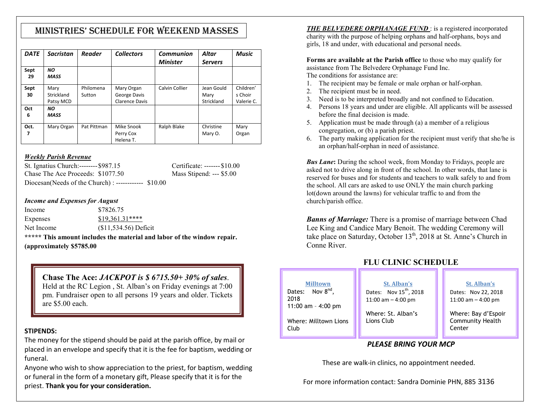## MInIStrIeS' Schedule for Weekend MaSSeS

| <b>DATE</b> | <b>Sacristan</b> | <b>Reader</b> | <b>Collectors</b>     | <b>Communion</b> | Altar          | <b>Music</b> |
|-------------|------------------|---------------|-----------------------|------------------|----------------|--------------|
|             |                  |               |                       | <b>Minister</b>  | <b>Servers</b> |              |
| Sept        | NO.              |               |                       |                  |                |              |
| 29          | <b>MASS</b>      |               |                       |                  |                |              |
| Sept        | Mary             | Philomena     | Mary Organ            | Calvin Collier   | Jean Gould     | Children'    |
| 30          | Strickland       | Sutton        | George Davis          |                  | Mary           | s Choir      |
|             | Patsy MCD        |               | <b>Clarence Davis</b> |                  | Strickland     | Valerie C.   |
| Oct         | ΝO               |               |                       |                  |                |              |
| 6           | <b>MASS</b>      |               |                       |                  |                |              |
| Oct.        | Mary Organ       | Pat Pittman   | Mike Snook            | Ralph Blake      | Christine      | Mary         |
| 7           |                  |               | Perry Cox             |                  | Mary O.        | Organ        |
|             |                  |               | Helena T.             |                  |                |              |

## *Weekly Parish Revenue*

St. Ignatius Church:-------- \$987.15 Certificate: ------- \$10.00 Chase The Ace Proceeds:  $$1077.50$  Mass Stipend: --- \$5.00 Diocesan(Needs of the Church) : ------------ \$10.00

### *Income and Expenses for August*

Income \$7826.75 Expenses \$19,361.31\*\*\*\*

Net Income (\$11,534.56) Deficit

**\*\*\*\*\* This amount includes the material and labor of the window repair. (approximately \$5785.00**

**Chase The Ace:** *JACKPOT is \$ 6715.50+ 30% of sales*. Held at the RC Legion , St. Alban's on Friday evenings at 7:00 pm. Fundraiser open to all persons 19 years and older. Tickets are \$5.00 each.

## **STIPENDS:**

The money for the stipend should be paid at the parish office, by mail or placed in an envelope and specify that it is the fee for baptism, wedding or funeral.

Anyone who wish to show appreciation to the priest, for baptism, wedding or funeral in the form of a monetary gift, Please specify that it is for the priest. **Thank you for your consideration.**

**THE BELVEDERE ORPHANAGE FUND**: is a registered incorporated charity with the purpose of helping orphans and half-orphans, boys and girls, 18 and under, with educational and personal needs.

**Forms are available at the Parish office** to those who may qualify for assistance from The Belvedere Orphanage Fund Inc. The conditions for assistance are:

- 1. The recipient may be female or male orphan or half-orphan.
- 2. The recipient must be in need.
- 3. Need is to be interpreted broadly and not confined to Education.
- 4. Persons 18 years and under are eligible. All applicants will be assessed before the final decision is made.
- 5. Application must be made through (a) a member of a religious congregation, or (b) a parish priest.
- 6. The party making application for the recipient must verify that she/he is an orphan/half-orphan in need of assistance.

*Bus Lane***:** During the school week, from Monday to Fridays, people are asked not to drive along in front of the school. In other words, that lane is reserved for buses and for students and teachers to walk safely to and from the school. All cars are asked to use ONLY the main church parking lot(down around the lawns) for vehicular traffic to and from the church/parish office.

*Banns of Marriage:* There is a promise of marriage between Chad Lee King and Candice Mary Benoit. The wedding Ceremony will take place on Saturday, October 13<sup>th</sup>, 2018 at St. Anne's Church in Conne River.

**FLU CLINIC SCHEDULE**

#### **Milltown** Dates: Nov 8<sup>nd</sup>, 2018 11:00 am – 4:00 pm Where: Milltown Lions Club **St. Alban's** Dates: Nov  $15^{th}$ , 2018 11:00 am – 4:00 pm Where: St. Alban's Lions Club

**St. Alban's** Dates: Nov 22, 2018 11:00 am – 4:00 pm

Where: Bay d'Espoir Community Health **Center** 

## *PLEASE BRING YOUR MCP*

These are walk-in clinics, no appointment needed.

For more information contact: Sandra Dominie PHN, 885 3136